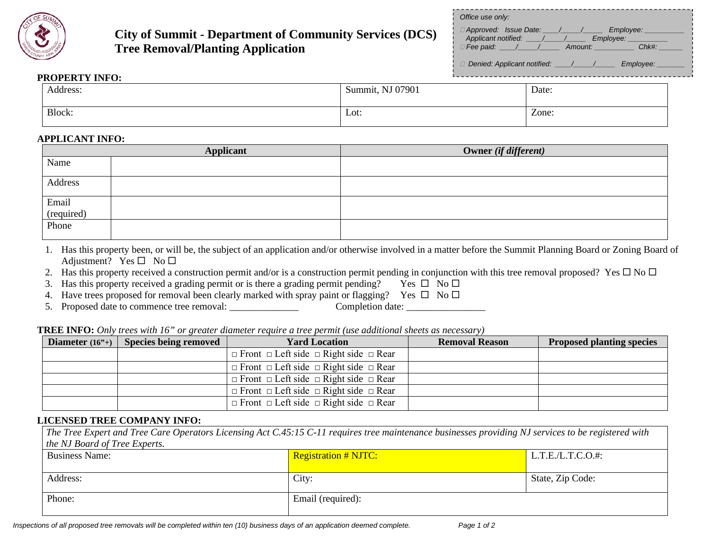

## **City of Summit - Department of Community Services (DCS) Tree Removal/Planting Application**

| Office use only:                                                                                                |  |
|-----------------------------------------------------------------------------------------------------------------|--|
| □ Approved: Issue Date: / / / Employee:<br>$\Box$ Fee paid: $\angle$ / $\angle$ Amount: Chk#:                   |  |
| Denied: Applicant notified: \left(\biggs) \left(\biggs) \left(\biggs) Denied: Applicant notified: \left(\biggs) |  |
|                                                                                                                 |  |

## **PROPERTY INFO:**

| Address: | Summit, NJ 07901 | Date: |
|----------|------------------|-------|
|          |                  |       |
| Block:   | Lot:             | Zone: |
|          |                  |       |

## **APPLICANT INFO:**

|                              | <b>Applicant</b> | Owner (if different) |
|------------------------------|------------------|----------------------|
| Name                         |                  |                      |
| Address                      |                  |                      |
| Email<br>(required)<br>Phone |                  |                      |
|                              |                  |                      |
|                              |                  |                      |

- 1. Has this property been, or will be, the subject of an application and/or otherwise involved in a matter before the Summit Planning Board or Zoning Board of Adjustment? Yes  $\square$  No  $\square$
- 2. Has this property received a construction permit and/or is a construction permit pending in conjunction with this tree removal proposed? Yes  $\Box$  No  $\Box$
- 3. Has this property received a grading permit or is there a grading permit pending? Yes  $\Box$  No  $\Box$
- 4. Have trees proposed for removal been clearly marked with spray paint or flagging? Yes  $\Box$  No  $\Box$
- 5. Proposed date to commence tree removal: Completion date: \_\_\_\_\_\_\_\_\_\_\_\_\_\_\_\_\_\_\_\_

| <b>TREE INFO:</b> Only trees with 16" or greater diameter require a tree permit (use additional sheets as necessary) |  |  |  |
|----------------------------------------------------------------------------------------------------------------------|--|--|--|
|----------------------------------------------------------------------------------------------------------------------|--|--|--|

| Diameter $(16^{\circ}+)$ Species being removed | <b>Yard Location</b>                                        | <b>Removal Reason</b> | <b>Proposed planting species</b> |
|------------------------------------------------|-------------------------------------------------------------|-----------------------|----------------------------------|
|                                                | $\Box$ Front $\Box$ Left side $\Box$ Right side $\Box$ Rear |                       |                                  |
|                                                | $\Box$ Front $\Box$ Left side $\Box$ Right side $\Box$ Rear |                       |                                  |
|                                                | $\Box$ Front $\Box$ Left side $\Box$ Right side $\Box$ Rear |                       |                                  |
|                                                | $\Box$ Front $\Box$ Left side $\Box$ Right side $\Box$ Rear |                       |                                  |
|                                                | $\Box$ Front $\Box$ Left side $\Box$ Right side $\Box$ Rear |                       |                                  |

## **LICENSED TREE COMPANY INFO:**

| The Tree Expert and Tree Care Operators Licensing Act C.45:15 C-11 requires tree maintenance businesses providing NJ services to be registered with |                             |                  |  |
|-----------------------------------------------------------------------------------------------------------------------------------------------------|-----------------------------|------------------|--|
| the NJ Board of Tree Experts.                                                                                                                       |                             |                  |  |
| <b>Business Name:</b>                                                                                                                               | <b>Registration # NJTC:</b> | L.T.E/L.T.C.O.#: |  |
|                                                                                                                                                     |                             |                  |  |
| Address:                                                                                                                                            | City:                       | State, Zip Code: |  |
|                                                                                                                                                     |                             |                  |  |
| Phone:                                                                                                                                              | Email (required):           |                  |  |
|                                                                                                                                                     |                             |                  |  |